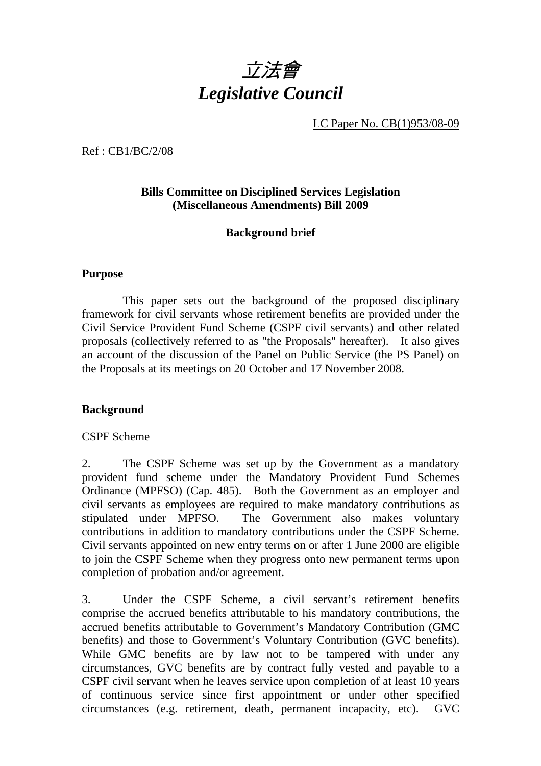

LC Paper No. CB(1)953/08-09

Ref : CB1/BC/2/08

## **Bills Committee on Disciplined Services Legislation (Miscellaneous Amendments) Bill 2009**

## **Background brief**

#### **Purpose**

This paper sets out the background of the proposed disciplinary framework for civil servants whose retirement benefits are provided under the Civil Service Provident Fund Scheme (CSPF civil servants) and other related proposals (collectively referred to as "the Proposals" hereafter). It also gives an account of the discussion of the Panel on Public Service (the PS Panel) on the Proposals at its meetings on 20 October and 17 November 2008.

#### **Background**

#### CSPF Scheme

2. The CSPF Scheme was set up by the Government as a mandatory provident fund scheme under the Mandatory Provident Fund Schemes Ordinance (MPFSO) (Cap. 485). Both the Government as an employer and civil servants as employees are required to make mandatory contributions as stipulated under MPFSO. The Government also makes voluntary contributions in addition to mandatory contributions under the CSPF Scheme. Civil servants appointed on new entry terms on or after 1 June 2000 are eligible to join the CSPF Scheme when they progress onto new permanent terms upon completion of probation and/or agreement.

3. Under the CSPF Scheme, a civil servant's retirement benefits comprise the accrued benefits attributable to his mandatory contributions, the accrued benefits attributable to Government's Mandatory Contribution (GMC benefits) and those to Government's Voluntary Contribution (GVC benefits). While GMC benefits are by law not to be tampered with under any circumstances, GVC benefits are by contract fully vested and payable to a CSPF civil servant when he leaves service upon completion of at least 10 years of continuous service since first appointment or under other specified circumstances (e.g. retirement, death, permanent incapacity, etc). GVC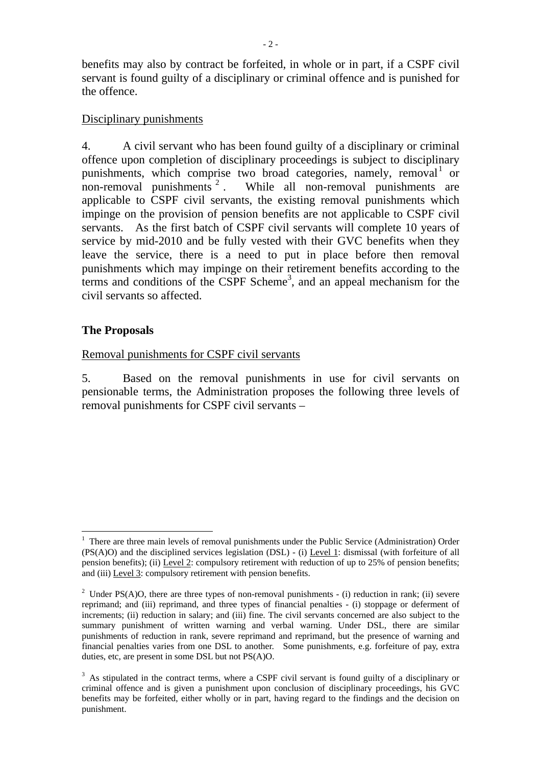benefits may also by contract be forfeited, in whole or in part, if a CSPF civil servant is found guilty of a disciplinary or criminal offence and is punished for the offence.

#### Disciplinary punishments

4. A civil servant who has been found guilty of a disciplinary or criminal offence upon completion of disciplinary proceedings is subject to disciplinary punishments, which comprise two broad categories, namely, removal<sup>1</sup> or non-removal punishments <sup>2</sup> . While all non-removal punishments are applicable to CSPF civil servants, the existing removal punishments which impinge on the provision of pension benefits are not applicable to CSPF civil servants. As the first batch of CSPF civil servants will complete 10 years of service by mid-2010 and be fully vested with their GVC benefits when they leave the service, there is a need to put in place before then removal punishments which may impinge on their retirement benefits according to the terms and conditions of the  $CSPF$  Scheme<sup>3</sup>, and an appeal mechanism for the civil servants so affected.

### **The Proposals**

 $\overline{a}$ 

#### Removal punishments for CSPF civil servants

5. Based on the removal punishments in use for civil servants on pensionable terms, the Administration proposes the following three levels of removal punishments for CSPF civil servants –

<sup>&</sup>lt;sup>1</sup> There are three main levels of removal punishments under the Public Service (Administration) Order (PS(A)O) and the disciplined services legislation (DSL) - (i) Level 1: dismissal (with forfeiture of all pension benefits); (ii) Level 2: compulsory retirement with reduction of up to 25% of pension benefits; and (iii) Level 3: compulsory retirement with pension benefits.

<sup>&</sup>lt;sup>2</sup> Under PS(A)O, there are three types of non-removal punishments - (i) reduction in rank; (ii) severe reprimand; and (iii) reprimand, and three types of financial penalties - (i) stoppage or deferment of increments; (ii) reduction in salary; and (iii) fine. The civil servants concerned are also subject to the summary punishment of written warning and verbal warning. Under DSL, there are similar punishments of reduction in rank, severe reprimand and reprimand, but the presence of warning and financial penalties varies from one DSL to another. Some punishments, e.g. forfeiture of pay, extra duties, etc, are present in some DSL but not PS(A)O.

<sup>&</sup>lt;sup>3</sup> As stipulated in the contract terms, where a CSPF civil servant is found guilty of a disciplinary or criminal offence and is given a punishment upon conclusion of disciplinary proceedings, his GVC benefits may be forfeited, either wholly or in part, having regard to the findings and the decision on punishment.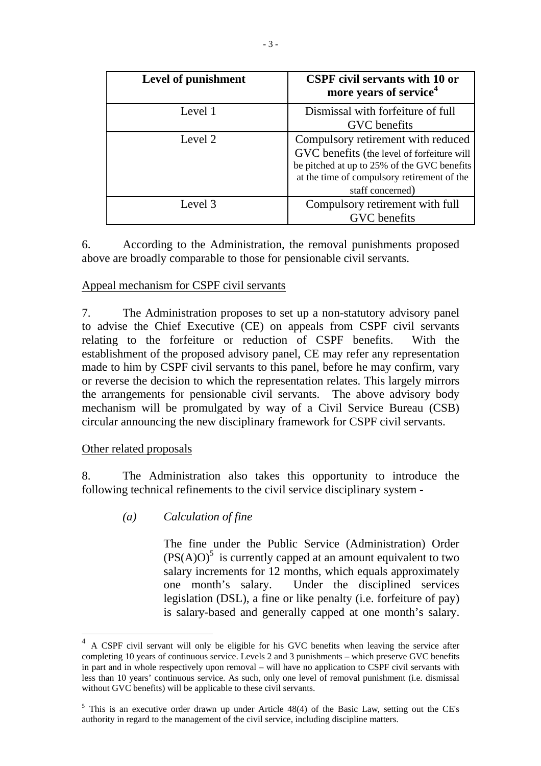| <b>Level of punishment</b> | <b>CSPF</b> civil servants with 10 or<br>more years of service <sup>4</sup>                                                                                                                        |  |
|----------------------------|----------------------------------------------------------------------------------------------------------------------------------------------------------------------------------------------------|--|
| Level 1                    | Dismissal with forfeiture of full<br>GVC benefits                                                                                                                                                  |  |
| Level 2                    | Compulsory retirement with reduced<br>GVC benefits (the level of forfeiture will<br>be pitched at up to 25% of the GVC benefits<br>at the time of compulsory retirement of the<br>staff concerned) |  |
| Level 3                    | Compulsory retirement with full<br>GVC benefits                                                                                                                                                    |  |

6. According to the Administration, the removal punishments proposed above are broadly comparable to those for pensionable civil servants.

### Appeal mechanism for CSPF civil servants

7. The Administration proposes to set up a non-statutory advisory panel to advise the Chief Executive (CE) on appeals from CSPF civil servants relating to the forfeiture or reduction of CSPF benefits. With the establishment of the proposed advisory panel, CE may refer any representation made to him by CSPF civil servants to this panel, before he may confirm, vary or reverse the decision to which the representation relates. This largely mirrors the arrangements for pensionable civil servants. The above advisory body mechanism will be promulgated by way of a Civil Service Bureau (CSB) circular announcing the new disciplinary framework for CSPF civil servants.

#### Other related proposals

 $\overline{a}$ 

8. The Administration also takes this opportunity to introduce the following technical refinements to the civil service disciplinary system -

*(a) Calculation of fine*

 The fine under the Public Service (Administration) Order  $(PS(A)O)^5$  is currently capped at an amount equivalent to two salary increments for 12 months, which equals approximately one month's salary. Under the disciplined services legislation (DSL), a fine or like penalty (i.e. forfeiture of pay) is salary-based and generally capped at one month's salary.

<sup>&</sup>lt;sup>4</sup> A CSPF civil servant will only be eligible for his GVC benefits when leaving the service after completing 10 years of continuous service. Levels 2 and 3 punishments – which preserve GVC benefits in part and in whole respectively upon removal – will have no application to CSPF civil servants with less than 10 years' continuous service. As such, only one level of removal punishment (i.e. dismissal without GVC benefits) will be applicable to these civil servants.

<sup>&</sup>lt;sup>5</sup> This is an executive order drawn up under Article 48(4) of the Basic Law, setting out the CE's authority in regard to the management of the civil service, including discipline matters.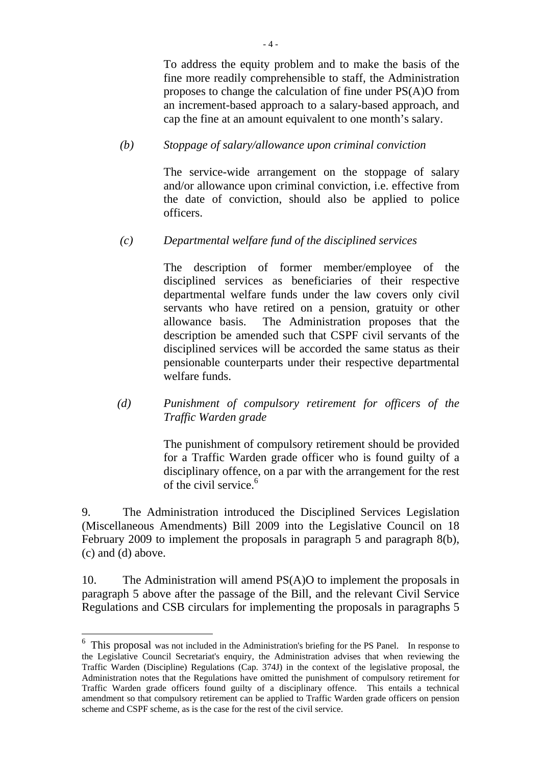To address the equity problem and to make the basis of the fine more readily comprehensible to staff, the Administration proposes to change the calculation of fine under PS(A)O from an increment-based approach to a salary-based approach, and cap the fine at an amount equivalent to one month's salary.

## *(b) Stoppage of salary/allowance upon criminal conviction*

 The service-wide arrangement on the stoppage of salary and/or allowance upon criminal conviction, i.e. effective from the date of conviction, should also be applied to police officers.

## *(c) Departmental welfare fund of the disciplined services*

The description of former member/employee of the disciplined services as beneficiaries of their respective departmental welfare funds under the law covers only civil servants who have retired on a pension, gratuity or other allowance basis. The Administration proposes that the description be amended such that CSPF civil servants of the disciplined services will be accorded the same status as their pensionable counterparts under their respective departmental welfare funds.

## *(d) Punishment of compulsory retirement for officers of the Traffic Warden grade*

The punishment of compulsory retirement should be provided for a Traffic Warden grade officer who is found guilty of a disciplinary offence, on a par with the arrangement for the rest of the civil service. $6$ 

9. The Administration introduced the Disciplined Services Legislation (Miscellaneous Amendments) Bill 2009 into the Legislative Council on 18 February 2009 to implement the proposals in paragraph 5 and paragraph 8(b), (c) and (d) above.

10. The Administration will amend PS(A)O to implement the proposals in paragraph 5 above after the passage of the Bill, and the relevant Civil Service Regulations and CSB circulars for implementing the proposals in paragraphs 5

 $\overline{a}$ 

<sup>&</sup>lt;sup>6</sup> This proposal was not included in the Administration's briefing for the PS Panel. In response to the Legislative Council Secretariat's enquiry, the Administration advises that when reviewing the Traffic Warden (Discipline) Regulations (Cap. 374J) in the context of the legislative proposal, the Administration notes that the Regulations have omitted the punishment of compulsory retirement for Traffic Warden grade officers found guilty of a disciplinary offence. This entails a technical amendment so that compulsory retirement can be applied to Traffic Warden grade officers on pension scheme and CSPF scheme, as is the case for the rest of the civil service.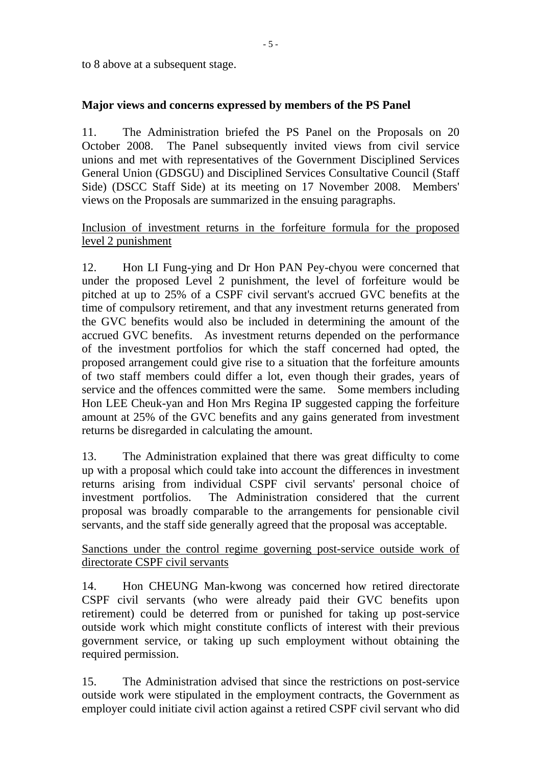to 8 above at a subsequent stage.

## **Major views and concerns expressed by members of the PS Panel**

11. The Administration briefed the PS Panel on the Proposals on 20 October 2008. The Panel subsequently invited views from civil service unions and met with representatives of the Government Disciplined Services General Union (GDSGU) and Disciplined Services Consultative Council (Staff Side) (DSCC Staff Side) at its meeting on 17 November 2008. Members' views on the Proposals are summarized in the ensuing paragraphs.

## Inclusion of investment returns in the forfeiture formula for the proposed level 2 punishment

12. Hon LI Fung-ying and Dr Hon PAN Pey-chyou were concerned that under the proposed Level 2 punishment, the level of forfeiture would be pitched at up to 25% of a CSPF civil servant's accrued GVC benefits at the time of compulsory retirement, and that any investment returns generated from the GVC benefits would also be included in determining the amount of the accrued GVC benefits. As investment returns depended on the performance of the investment portfolios for which the staff concerned had opted, the proposed arrangement could give rise to a situation that the forfeiture amounts of two staff members could differ a lot, even though their grades, years of service and the offences committed were the same. Some members including Hon LEE Cheuk-yan and Hon Mrs Regina IP suggested capping the forfeiture amount at 25% of the GVC benefits and any gains generated from investment returns be disregarded in calculating the amount.

13. The Administration explained that there was great difficulty to come up with a proposal which could take into account the differences in investment returns arising from individual CSPF civil servants' personal choice of investment portfolios. The Administration considered that the current proposal was broadly comparable to the arrangements for pensionable civil servants, and the staff side generally agreed that the proposal was acceptable.

### Sanctions under the control regime governing post-service outside work of directorate CSPF civil servants

14. Hon CHEUNG Man-kwong was concerned how retired directorate CSPF civil servants (who were already paid their GVC benefits upon retirement) could be deterred from or punished for taking up post-service outside work which might constitute conflicts of interest with their previous government service, or taking up such employment without obtaining the required permission.

15. The Administration advised that since the restrictions on post-service outside work were stipulated in the employment contracts, the Government as employer could initiate civil action against a retired CSPF civil servant who did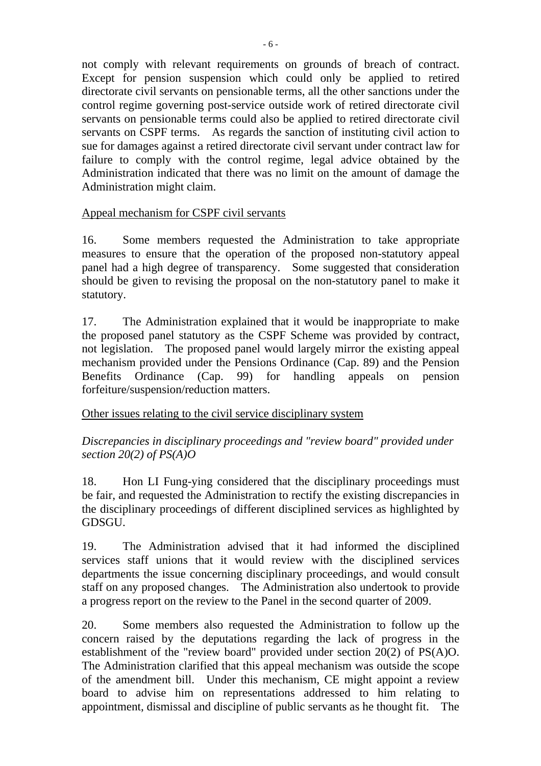not comply with relevant requirements on grounds of breach of contract. Except for pension suspension which could only be applied to retired directorate civil servants on pensionable terms, all the other sanctions under the control regime governing post-service outside work of retired directorate civil servants on pensionable terms could also be applied to retired directorate civil servants on CSPF terms. As regards the sanction of instituting civil action to sue for damages against a retired directorate civil servant under contract law for failure to comply with the control regime, legal advice obtained by the Administration indicated that there was no limit on the amount of damage the Administration might claim.

## Appeal mechanism for CSPF civil servants

16. Some members requested the Administration to take appropriate measures to ensure that the operation of the proposed non-statutory appeal panel had a high degree of transparency. Some suggested that consideration should be given to revising the proposal on the non-statutory panel to make it statutory.

17. The Administration explained that it would be inappropriate to make the proposed panel statutory as the CSPF Scheme was provided by contract, not legislation. The proposed panel would largely mirror the existing appeal mechanism provided under the Pensions Ordinance (Cap. 89) and the Pension Benefits Ordinance (Cap. 99) for handling appeals on pension forfeiture/suspension/reduction matters.

Other issues relating to the civil service disciplinary system

*Discrepancies in disciplinary proceedings and "review board" provided under section 20(2) of PS(A)O*

18. Hon LI Fung-ying considered that the disciplinary proceedings must be fair, and requested the Administration to rectify the existing discrepancies in the disciplinary proceedings of different disciplined services as highlighted by GDSGU.

19. The Administration advised that it had informed the disciplined services staff unions that it would review with the disciplined services departments the issue concerning disciplinary proceedings, and would consult staff on any proposed changes. The Administration also undertook to provide a progress report on the review to the Panel in the second quarter of 2009.

20. Some members also requested the Administration to follow up the concern raised by the deputations regarding the lack of progress in the establishment of the "review board" provided under section 20(2) of PS(A)O. The Administration clarified that this appeal mechanism was outside the scope of the amendment bill. Under this mechanism, CE might appoint a review board to advise him on representations addressed to him relating to appointment, dismissal and discipline of public servants as he thought fit. The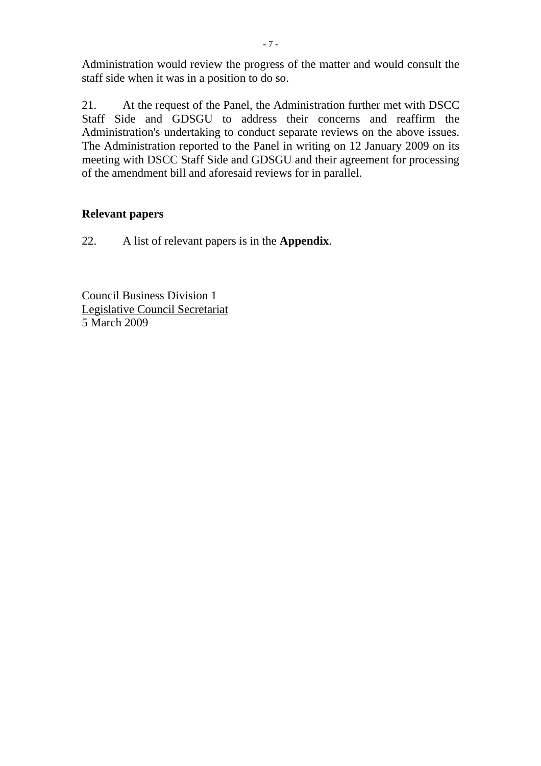Administration would review the progress of the matter and would consult the staff side when it was in a position to do so.

21. At the request of the Panel, the Administration further met with DSCC Staff Side and GDSGU to address their concerns and reaffirm the Administration's undertaking to conduct separate reviews on the above issues. The Administration reported to the Panel in writing on 12 January 2009 on its meeting with DSCC Staff Side and GDSGU and their agreement for processing of the amendment bill and aforesaid reviews for in parallel.

## **Relevant papers**

22. A list of relevant papers is in the **Appendix**.

Council Business Division 1 Legislative Council Secretariat 5 March 2009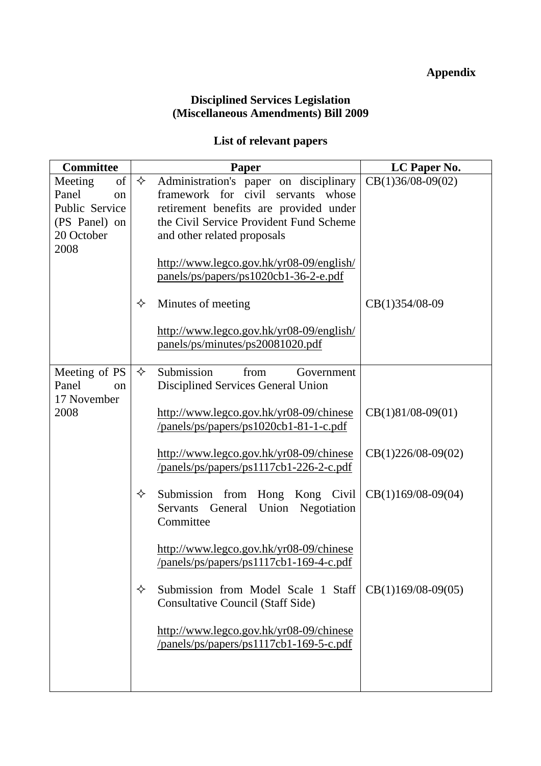# **Appendix**

### **Disciplined Services Legislation (Miscellaneous Amendments) Bill 2009**

## **List of relevant papers**

| <b>Committee</b>             |   | Paper                                                                                       | LC Paper No.         |
|------------------------------|---|---------------------------------------------------------------------------------------------|----------------------|
| of<br>Meeting                | ✧ | Administration's paper on disciplinary                                                      | $CB(1)36/08-09(02)$  |
| Panel<br>on                  |   | framework for civil servants whose                                                          |                      |
| Public Service               |   | retirement benefits are provided under                                                      |                      |
| (PS Panel) on                |   | the Civil Service Provident Fund Scheme                                                     |                      |
| 20 October<br>2008           |   | and other related proposals                                                                 |                      |
|                              |   | http://www.legco.gov.hk/yr08-09/english/                                                    |                      |
|                              |   | panels/ps/papers/ps1020cb1-36-2-e.pdf                                                       |                      |
|                              | ✧ | Minutes of meeting                                                                          | CB(1)354/08-09       |
|                              |   | http://www.legco.gov.hk/yr08-09/english/<br>panels/ps/minutes/ps20081020.pdf                |                      |
| Meeting of PS<br>Panel<br>on | ✧ | Submission<br>from<br>Government<br>Disciplined Services General Union                      |                      |
| 17 November<br>2008          |   | http://www.legco.gov.hk/yr08-09/chinese<br>$\gamma$ panels/ps/papers/ps1020cb1-81-1-c.pdf   | $CB(1)81/08-09(01)$  |
|                              |   | http://www.legco.gov.hk/yr08-09/chinese<br>/panels/ps/papers/ps1117cb1-226-2-c.pdf          | $CB(1)226/08-09(02)$ |
|                              | ✧ | Submission from Hong Kong Civil<br>General<br>Union<br>Negotiation<br>Servants<br>Committee | $CB(1)169/08-09(04)$ |
|                              |   | http://www.legco.gov.hk/yr08-09/chinese<br>/panels/ps/papers/ps1117cb1-169-4-c.pdf          |                      |
|                              | ✧ | Submission from Model Scale 1 Staff<br><b>Consultative Council (Staff Side)</b>             | $CB(1)169/08-09(05)$ |
|                              |   | http://www.legco.gov.hk/yr08-09/chinese<br>/panels/ps/papers/ps1117cb1-169-5-c.pdf          |                      |
|                              |   |                                                                                             |                      |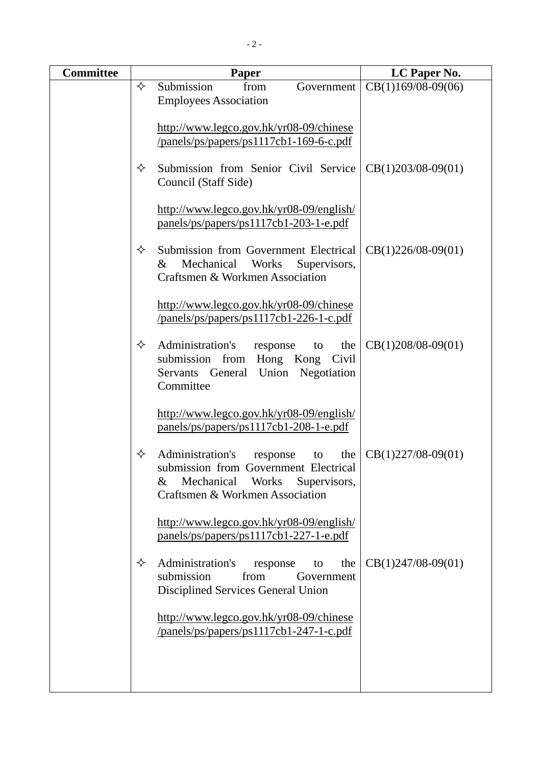| <b>Committee</b> | Paper |                                                                                                                                                                   | LC Paper No.         |
|------------------|-------|-------------------------------------------------------------------------------------------------------------------------------------------------------------------|----------------------|
|                  | ✧     | Submission<br>from<br>Government                                                                                                                                  | $CB(1)169/08-09(06)$ |
|                  |       | <b>Employees Association</b>                                                                                                                                      |                      |
|                  |       | http://www.legco.gov.hk/yr08-09/chinese                                                                                                                           |                      |
|                  |       | /panels/ps/papers/ps1117cb1-169-6-c.pdf                                                                                                                           |                      |
|                  |       |                                                                                                                                                                   |                      |
|                  | ✧     | Submission from Senior Civil Service<br>Council (Staff Side)                                                                                                      | $CB(1)203/08-09(01)$ |
|                  |       | http://www.legco.gov.hk/yr08-09/english/<br>panels/ps/papers/ps1117cb1-203-1-e.pdf                                                                                |                      |
|                  | ✧     | Submission from Government Electrical<br>Mechanical<br>$\&$<br>Works<br>Supervisors,<br>Craftsmen & Workmen Association                                           | $CB(1)226/08-09(01)$ |
|                  |       | http://www.legco.gov.hk/yr08-09/chinese<br>/panels/ps/papers/ps1117cb1-226-1-c.pdf                                                                                |                      |
|                  | ✧     | Administration's<br>response<br>the<br>to<br>Hong Kong<br>submission<br>from<br>Civil<br>Union<br>Negotiation<br>Servants<br>General<br>Committee                 | $CB(1)208/08-09(01)$ |
|                  |       | http://www.legco.gov.hk/yr08-09/english/<br>panels/ps/papers/ps1117cb1-208-1-e.pdf                                                                                |                      |
|                  | ✧     | Administration's<br>the<br>response<br>to<br>submission from Government Electrical<br>Mechanical<br>Works<br>&<br>Supervisors,<br>Craftsmen & Workmen Association | $CB(1)227/08-09(01)$ |
|                  |       | http://www.legco.gov.hk/yr08-09/english/<br>panels/ps/papers/ps1117cb1-227-1-e.pdf                                                                                |                      |
|                  | ✧     | Administration's<br>response<br>the<br>to<br>submission<br>from<br>Government<br>Disciplined Services General Union                                               | $CB(1)247/08-09(01)$ |
|                  |       | http://www.legco.gov.hk/yr08-09/chinese<br>/panels/ps/papers/ps1117cb1-247-1-c.pdf                                                                                |                      |
|                  |       |                                                                                                                                                                   |                      |
|                  |       |                                                                                                                                                                   |                      |